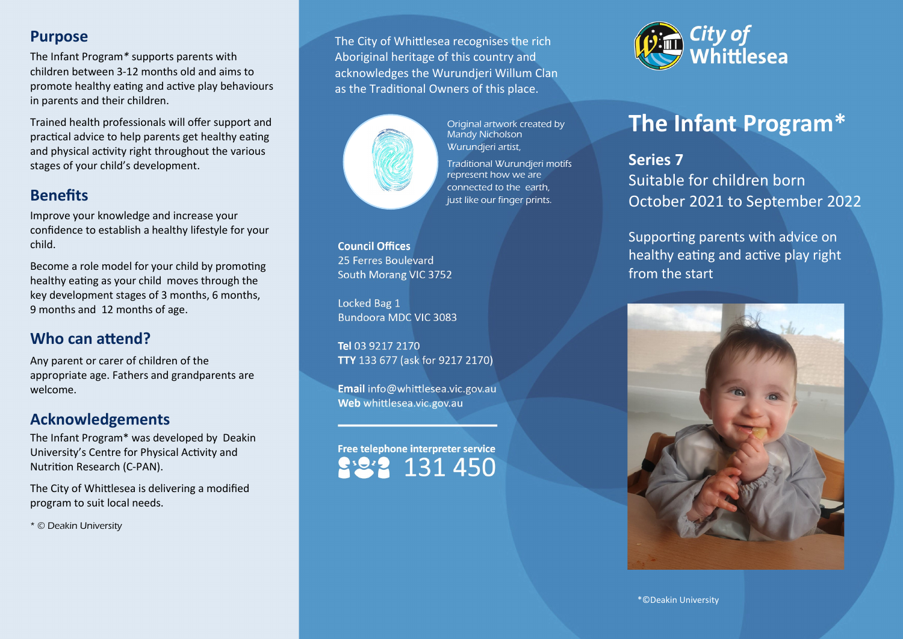### **Purpose**

The Infant Program*\** supports parents with children between 3-12 months old and aims to promote healthy eating and active play behaviours in parents and their children.

Trained health professionals will offer support and practical advice to help parents get healthy eating and physical activity right throughout the various stages of your child's development.

# **Benefits**

Improve your knowledge and increase your confidence to establish a healthy lifestyle for your child.

Become a role model for your child by promoting healthy eating as your child moves through the key development stages of 3 months, 6 months, 9 months and 12 months of age.

# **Who can attend?**

Any parent or carer of children of the appropriate age. Fathers and grandparents are welcome.

### **Acknowledgements**

The Infant Program\* was developed by Deakin University's Centre for Physical Activity and Nutrition Research (C-PAN).

The City of Whittlesea is delivering a modified program to suit local needs.

\* © Deakin University

The City of Whittlesea recognises the rich Aboriginal heritage of this country and acknowledges the Wurundjeri Willum Clan as the Traditional Owners of this place.



Original artwork created by Mandy Nicholson Wurundjeri artist, Traditional Wurundjeri motifs represent how we are connected to the earth, just like our finger prints.

**Council Offices** 25 Ferres Boulevard South Morang VIC 3752

Locked Bag 1 Bundoora MDC VIC 3083

Tel 03 9217 2170 TTY 133 677 (ask for 9217 2170)

Email info@whittlesea.vic.gov.au Web whittlesea.vic.gov.au

Free telephone interpreter service 131450



# **The Infant Program\***

**Series 7** Suitable for children born October 2021 to September 2022

Supporting parents with advice on healthy eating and active play right from the start



\*©Deakin University